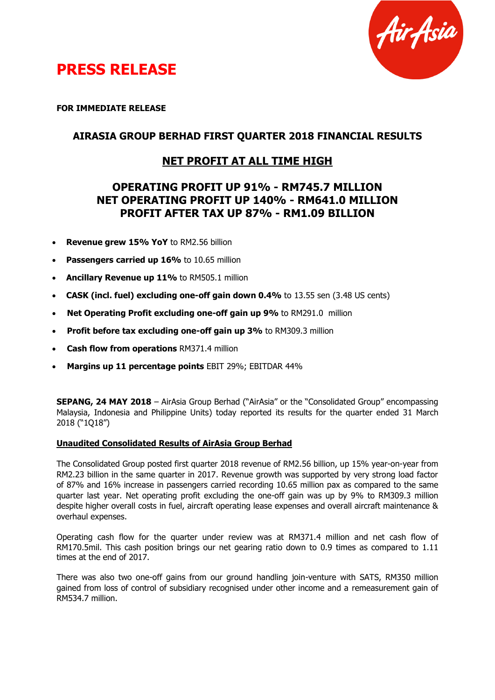

## **PRESS RELEASE**

**FOR IMMEDIATE RELEASE**

### **AIRASIA GROUP BERHAD FIRST QUARTER 2018 FINANCIAL RESULTS**

## **NET PROFIT AT ALL TIME HIGH**

## **OPERATING PROFIT UP 91% - RM745.7 MILLION NET OPERATING PROFIT UP 140% - RM641.0 MILLION PROFIT AFTER TAX UP 87% - RM1.09 BILLION**

- **Revenue grew 15% YoY** to RM2.56 billion
- **Passengers carried up 16%** to 10.65 million
- **Ancillary Revenue up 11%** to RM505.1 million
- **CASK (incl. fuel) excluding one-off gain down 0.4%** to 13.55 sen (3.48 US cents)
- **Net Operating Profit excluding one-off gain up 9%** to RM291.0 million
- **Profit before tax excluding one-off gain up 3%** to RM309.3 million
- **Cash flow from operations** RM371.4 million
- **Margins up 11 percentage points** EBIT 29%; EBITDAR 44%

**SEPANG, 24 MAY 2018** – AirAsia Group Berhad ("AirAsia" or the "Consolidated Group" encompassing Malaysia, Indonesia and Philippine Units) today reported its results for the quarter ended 31 March 2018 ("1Q18")

### **Unaudited Consolidated Results of AirAsia Group Berhad**

The Consolidated Group posted first quarter 2018 revenue of RM2.56 billion, up 15% year-on-year from RM2.23 billion in the same quarter in 2017. Revenue growth was supported by very strong load factor of 87% and 16% increase in passengers carried recording 10.65 million pax as compared to the same quarter last year. Net operating profit excluding the one-off gain was up by 9% to RM309.3 million despite higher overall costs in fuel, aircraft operating lease expenses and overall aircraft maintenance & overhaul expenses.

Operating cash flow for the quarter under review was at RM371.4 million and net cash flow of RM170.5mil. This cash position brings our net gearing ratio down to 0.9 times as compared to 1.11 times at the end of 2017.

There was also two one-off gains from our ground handling join-venture with SATS, RM350 million gained from loss of control of subsidiary recognised under other income and a remeasurement gain of RM534.7 million.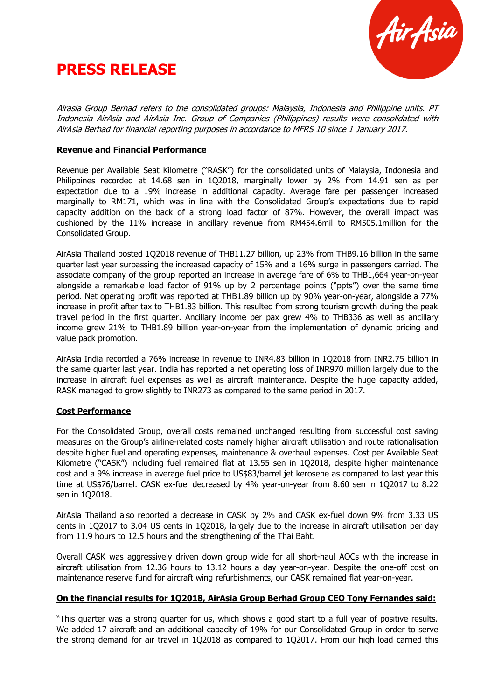



Airasia Group Berhad refers to the consolidated groups: Malaysia, Indonesia and Philippine units. PT Indonesia AirAsia and AirAsia Inc. Group of Companies (Philippines) results were consolidated with AirAsia Berhad for financial reporting purposes in accordance to MFRS 10 since 1 January 2017.

#### **Revenue and Financial Performance**

Revenue per Available Seat Kilometre ("RASK") for the consolidated units of Malaysia, Indonesia and Philippines recorded at 14.68 sen in 1Q2018, marginally lower by 2% from 14.91 sen as per expectation due to a 19% increase in additional capacity. Average fare per passenger increased marginally to RM171, which was in line with the Consolidated Group's expectations due to rapid capacity addition on the back of a strong load factor of 87%. However, the overall impact was cushioned by the 11% increase in ancillary revenue from RM454.6mil to RM505.1million for the Consolidated Group.

AirAsia Thailand posted 1Q2018 revenue of THB11.27 billion, up 23% from THB9.16 billion in the same quarter last year surpassing the increased capacity of 15% and a 16% surge in passengers carried. The associate company of the group reported an increase in average fare of 6% to THB1,664 year-on-year alongside a remarkable load factor of 91% up by 2 percentage points ("ppts") over the same time period. Net operating profit was reported at THB1.89 billion up by 90% year-on-year, alongside a 77% increase in profit after tax to THB1.83 billion. This resulted from strong tourism growth during the peak travel period in the first quarter. Ancillary income per pax grew 4% to THB336 as well as ancillary income grew 21% to THB1.89 billion year-on-year from the implementation of dynamic pricing and value pack promotion.

AirAsia India recorded a 76% increase in revenue to INR4.83 billion in 1Q2018 from INR2.75 billion in the same quarter last year. India has reported a net operating loss of INR970 million largely due to the increase in aircraft fuel expenses as well as aircraft maintenance. Despite the huge capacity added, RASK managed to grow slightly to INR273 as compared to the same period in 2017.

### **Cost Performance**

For the Consolidated Group, overall costs remained unchanged resulting from successful cost saving measures on the Group's airline-related costs namely higher aircraft utilisation and route rationalisation despite higher fuel and operating expenses, maintenance & overhaul expenses. Cost per Available Seat Kilometre ("CASK") including fuel remained flat at 13.55 sen in 1Q2018, despite higher maintenance cost and a 9% increase in average fuel price to US\$83/barrel jet kerosene as compared to last year this time at US\$76/barrel. CASK ex-fuel decreased by 4% year-on-year from 8.60 sen in 1Q2017 to 8.22 sen in 1Q2018.

AirAsia Thailand also reported a decrease in CASK by 2% and CASK ex-fuel down 9% from 3.33 US cents in 1Q2017 to 3.04 US cents in 1Q2018, largely due to the increase in aircraft utilisation per day from 11.9 hours to 12.5 hours and the strengthening of the Thai Baht.

Overall CASK was aggressively driven down group wide for all short-haul AOCs with the increase in aircraft utilisation from 12.36 hours to 13.12 hours a day year-on-year. Despite the one-off cost on maintenance reserve fund for aircraft wing refurbishments, our CASK remained flat year-on-year.

#### **On the financial results for 1Q2018, AirAsia Group Berhad Group CEO Tony Fernandes said:**

"This quarter was a strong quarter for us, which shows a good start to a full year of positive results. We added 17 aircraft and an additional capacity of 19% for our Consolidated Group in order to serve the strong demand for air travel in 1Q2018 as compared to 1Q2017. From our high load carried this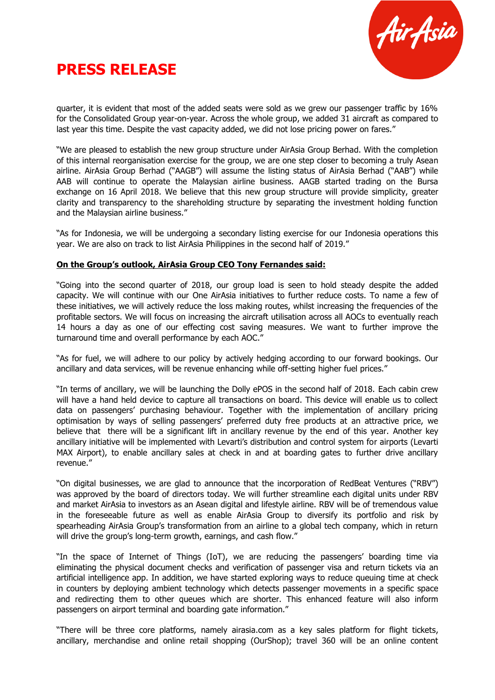

# **PRESS RELEASE**

quarter, it is evident that most of the added seats were sold as we grew our passenger traffic by 16% for the Consolidated Group year-on-year. Across the whole group, we added 31 aircraft as compared to last year this time. Despite the vast capacity added, we did not lose pricing power on fares."

"We are pleased to establish the new group structure under AirAsia Group Berhad. With the completion of this internal reorganisation exercise for the group, we are one step closer to becoming a truly Asean airline. AirAsia Group Berhad ("AAGB") will assume the listing status of AirAsia Berhad ("AAB") while AAB will continue to operate the Malaysian airline business. AAGB started trading on the Bursa exchange on 16 April 2018. We believe that this new group structure will provide simplicity, greater clarity and transparency to the shareholding structure by separating the investment holding function and the Malaysian airline business."

"As for Indonesia, we will be undergoing a secondary listing exercise for our Indonesia operations this year. We are also on track to list AirAsia Philippines in the second half of 2019."

### **On the Group's outlook, AirAsia Group CEO Tony Fernandes said:**

"Going into the second quarter of 2018, our group load is seen to hold steady despite the added capacity. We will continue with our One AirAsia initiatives to further reduce costs. To name a few of these initiatives, we will actively reduce the loss making routes, whilst increasing the frequencies of the profitable sectors. We will focus on increasing the aircraft utilisation across all AOCs to eventually reach 14 hours a day as one of our effecting cost saving measures. We want to further improve the turnaround time and overall performance by each AOC."

"As for fuel, we will adhere to our policy by actively hedging according to our forward bookings. Our ancillary and data services, will be revenue enhancing while off-setting higher fuel prices."

"In terms of ancillary, we will be launching the Dolly ePOS in the second half of 2018. Each cabin crew will have a hand held device to capture all transactions on board. This device will enable us to collect data on passengers' purchasing behaviour. Together with the implementation of ancillary pricing optimisation by ways of selling passengers' preferred duty free products at an attractive price, we believe that there will be a significant lift in ancillary revenue by the end of this year. Another key ancillary initiative will be implemented with Levarti's distribution and control system for airports (Levarti MAX Airport), to enable ancillary sales at check in and at boarding gates to further drive ancillary revenue."

"On digital businesses, we are glad to announce that the incorporation of RedBeat Ventures ("RBV") was approved by the board of directors today. We will further streamline each digital units under RBV and market AirAsia to investors as an Asean digital and lifestyle airline. RBV will be of tremendous value in the foreseeable future as well as enable AirAsia Group to diversify its portfolio and risk by spearheading AirAsia Group's transformation from an airline to a global tech company, which in return will drive the group's long-term growth, earnings, and cash flow."

"In the space of Internet of Things (IoT), we are reducing the passengers' boarding time via eliminating the physical document checks and verification of passenger visa and return tickets via an artificial intelligence app. In addition, we have started exploring ways to reduce queuing time at check in counters by deploying ambient technology which detects passenger movements in a specific space and redirecting them to other queues which are shorter. This enhanced feature will also inform passengers on airport terminal and boarding gate information."

"There will be three core platforms, namely airasia.com as a key sales platform for flight tickets, ancillary, merchandise and online retail shopping (OurShop); travel 360 will be an online content